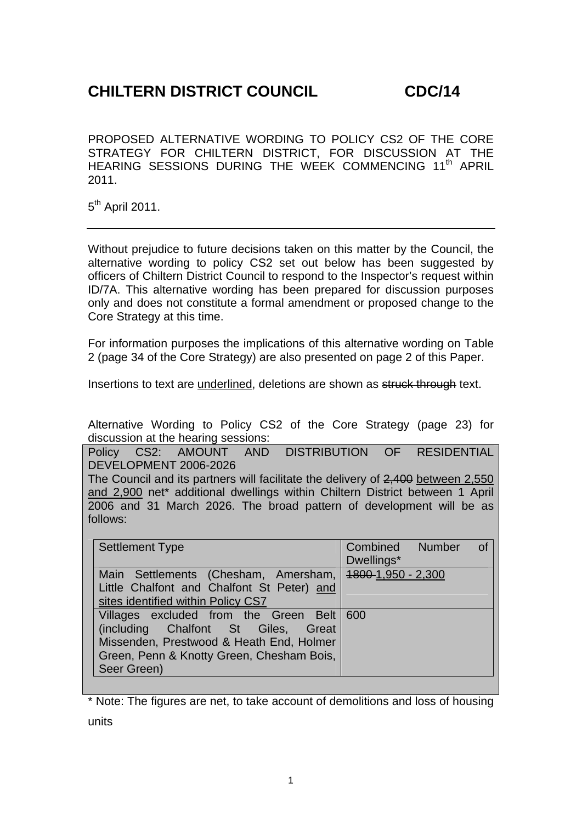## **CHILTERN DISTRICT COUNCIL CDC/14**

PROPOSED ALTERNATIVE WORDING TO POLICY CS2 OF THE CORE STRATEGY FOR CHILTERN DISTRICT, FOR DISCUSSION AT THE HEARING SESSIONS DURING THE WEEK COMMENCING 11<sup>th</sup> APRIL 2011.

5<sup>th</sup> April 2011.

Without prejudice to future decisions taken on this matter by the Council, the alternative wording to policy CS2 set out below has been suggested by officers of Chiltern District Council to respond to the Inspector's request within ID/7A. This alternative wording has been prepared for discussion purposes only and does not constitute a formal amendment or proposed change to the Core Strategy at this time.

For information purposes the implications of this alternative wording on Table 2 (page 34 of the Core Strategy) are also presented on page 2 of this Paper.

Insertions to text are underlined, deletions are shown as struck through text.

Alternative Wording to Policy CS2 of the Core Strategy (page 23) for discussion at the hearing sessions:

Policy CS2: AMOUNT AND DISTRIBUTION OF RESIDENTIAL DEVELOPMENT 2006-2026 The Council and its partners will facilitate the delivery of 2,400 between 2,550 and 2,900 net\* additional dwellings within Chiltern District between 1 April 2006 and 31 March 2026. The broad pattern of development will be as follows:

| <b>Settlement Type</b>                                                                                                                                                                   | Combined Number<br><b>of</b><br>Dwellings* |
|------------------------------------------------------------------------------------------------------------------------------------------------------------------------------------------|--------------------------------------------|
| Main Settlements (Chesham, Amersham, 1800-1,950 - 2,300<br>Little Chalfont and Chalfont St Peter) and<br>sites identified within Policy CS7                                              |                                            |
| Villages excluded from the Green Belt 600<br>(including Chalfont St Giles, Great<br>Missenden, Prestwood & Heath End, Holmer<br>Green, Penn & Knotty Green, Chesham Bois,<br>Seer Green) |                                            |

\* Note: The figures are net, to take account of demolitions and loss of housing units